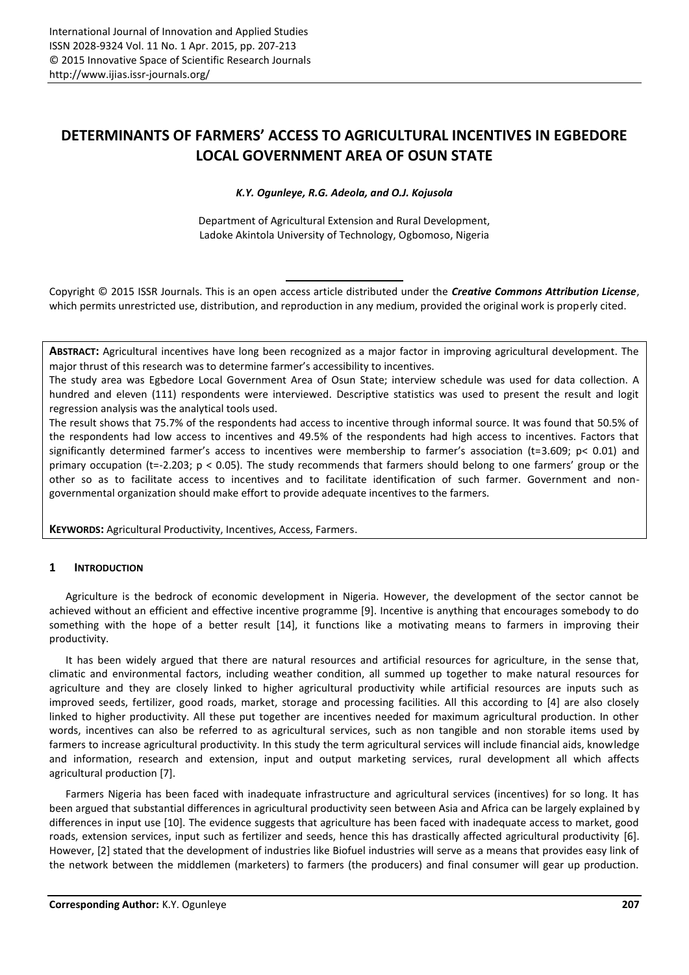# **DETERMINANTS OF FARMERS' ACCESS TO AGRICULTURAL INCENTIVES IN EGBEDORE LOCAL GOVERNMENT AREA OF OSUN STATE**

*K.Y. Ogunleye, R.G. Adeola, and O.J. Kojusola*

Department of Agricultural Extension and Rural Development, Ladoke Akintola University of Technology, Ogbomoso, Nigeria

Copyright © 2015 ISSR Journals. This is an open access article distributed under the *Creative Commons Attribution License*, which permits unrestricted use, distribution, and reproduction in any medium, provided the original work is properly cited.

**ABSTRACT:** Agricultural incentives have long been recognized as a major factor in improving agricultural development. The major thrust of this research was to determine farmer's accessibility to incentives.

The study area was Egbedore Local Government Area of Osun State; interview schedule was used for data collection. A hundred and eleven (111) respondents were interviewed. Descriptive statistics was used to present the result and logit regression analysis was the analytical tools used.

The result shows that 75.7% of the respondents had access to incentive through informal source. It was found that 50.5% of the respondents had low access to incentives and 49.5% of the respondents had high access to incentives. Factors that significantly determined farmer's access to incentives were membership to farmer's association (t=3.609; p< 0.01) and primary occupation (t=-2.203;  $p < 0.05$ ). The study recommends that farmers should belong to one farmers' group or the other so as to facilitate access to incentives and to facilitate identification of such farmer. Government and non governmental organization should make effort to provide adequate incentives to the farmers.

**KEYWORDS:** Agricultural Productivity, Incentives, Access, Farmers.

# **1 INTRODUCTION**

Agriculture is the bedrock of economic development in Nigeria. However, the development of the sector cannot be achieved without an efficient and effective incentive programme [9]. Incentive is anything that encourages somebody to do something with the hope of a better result [14], it functions like a motivating means to farmers in improving their productivity.

It has been widely argued that there are natural resources and artificial resources for agriculture, in the sense that, climatic and environmental factors, including weather condition, all summed up together to make natural resources for agriculture and they are closely linked to higher agricultural productivity while artificial resources are inputs such as improved seeds, fertilizer, good roads, market, storage and processing facilities. All this according to [4] are also closely linked to higher productivity. All these put together are incentives needed for maximum agricultural production. In other words, incentives can also be referred to as agricultural services, such as non tangible and non storable items used by farmers to increase agricultural productivity. In this study the term agricultural services will include financial aids, knowledge and information, research and extension, input and output marketing services, rural development all which affects agricultural production [7].

Farmers Nigeria has been faced with inadequate infrastructure and agricultural services (incentives) for so long. It has been argued that substantial differences in agricultural productivity seen between Asia and Africa can be largely explained by differences in input use [10]. The evidence suggests that agriculture has been faced with inadequate access to market, good roads, extension services, input such as fertilizer and seeds, hence this has drastically affected agricultural productivity [6]. However, [2] stated that the development of industries like Biofuel industries will serve as a means that provides easy link of the network between the middlemen (marketers) to farmers (the producers) and final consumer will gear up production.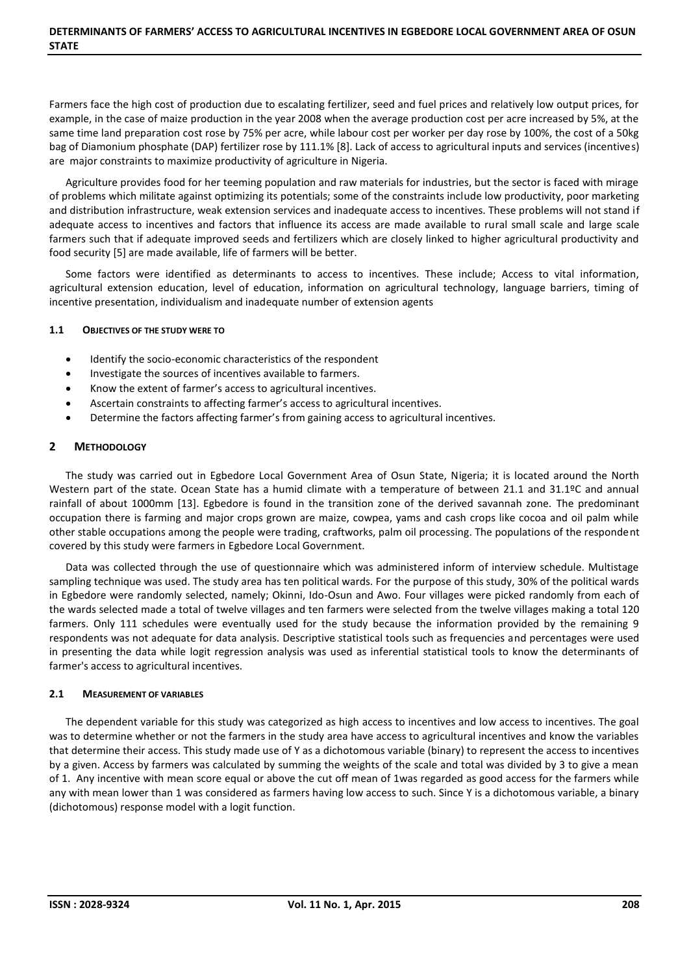Farmers face the high cost of production due to escalating fertilizer, seed and fuel prices and relatively low output prices, for example, in the case of maize production in the year 2008 when the average production cost per acre increased by 5%, at the same time land preparation cost rose by 75% per acre, while labour cost per worker per day rose by 100%, the cost of a 50kg bag of Diamonium phosphate (DAP) fertilizer rose by 111.1% [8]. Lack of access to agricultural inputs and services (incentives) are major constraints to maximize productivity of agriculture in Nigeria.

Agriculture provides food for her teeming population and raw materials for industries, but the sector is faced with mirage of problems which militate against optimizing its potentials; some of the constraints include low productivity, poor marketing and distribution infrastructure, weak extension services and inadequate access to incentives. These problems will not stand if adequate access to incentives and factors that influence its access are made available to rural small scale and large scale farmers such that if adequate improved seeds and fertilizers which are closely linked to higher agricultural productivity and food security [5] are made available, life of farmers will be better.

Some factors were identified as determinants to access to incentives. These include; Access to vital information, agricultural extension education, level of education, information on agricultural technology, language barriers, timing of incentive presentation, individualism and inadequate number of extension agents

## **1.1 OBJECTIVES OF THE STUDY WERE TO**

- $\bullet$  Identify the socio-economic characteristics of the respondent
- $\bullet$  Investigate the sources of incentives available to farmers.
- Know the extent of farmer's access to agricultural incentives.
- Ascertain constraints to affecting farmer's access to agricultural incentives.
- Determine the factors affecting farmer's from gaining access to agricultural incentives.

## **2 METHODOLOGY**

The study was carried out in Egbedore Local Government Area of Osun State, Nigeria; it is located around the North Western part of the state. Ocean State has a humid climate with a temperature of between 21.1 and 31.1ºC and annual rainfall of about 1000mm [13]. Egbedore is found in the transition zone of the derived savannah zone. The predominant occupation there is farming and major crops grown are maize, cowpea, yams and cash crops like cocoa and oil palm while other stable occupations among the people were trading, craftworks, palm oil processing. The populations of the respondent covered by this study were farmers in Egbedore Local Government.

Data was collected through the use of questionnaire which was administered inform of interview schedule. Multistage sampling technique was used. The study area has ten political wards. For the purpose of this study, 30% of the political wards in Egbedore were randomly selected, namely; Okinni, Ido-Osun and Awo. Four villages were picked randomly from each of the wards selected made a total of twelve villages and ten farmers were selected from the twelve villages making a total 120 farmers. Only 111 schedules were eventually used for the study because the information provided by the remaining 9 respondents was not adequate for data analysis. Descriptive statistical tools such as frequencies and percentages were used in presenting the data while logit regression analysis was used as inferential statistical tools to know the determinants of farmer's access to agricultural incentives.

# **2.1 MEASUREMENT OF VARIABLES**

The dependent variable for this study was categorized as high access to incentives and low access to incentives. The goal was to determine whether or not the farmers in the study area have access to agricultural incentives and know the variables that determine their access. This study made use of Y as a dichotomous variable (binary) to represent the access to incentives by a given. Access by farmers was calculated by summing the weights of the scale and total was divided by 3 to give a mean of 1. Any incentive with mean score equal or above the cut off mean of 1was regarded as good access for the farmers while any with mean lower than 1 was considered as farmers having low access to such. Since Y is a dichotomous variable, a binary (dichotomous) response model with a logit function.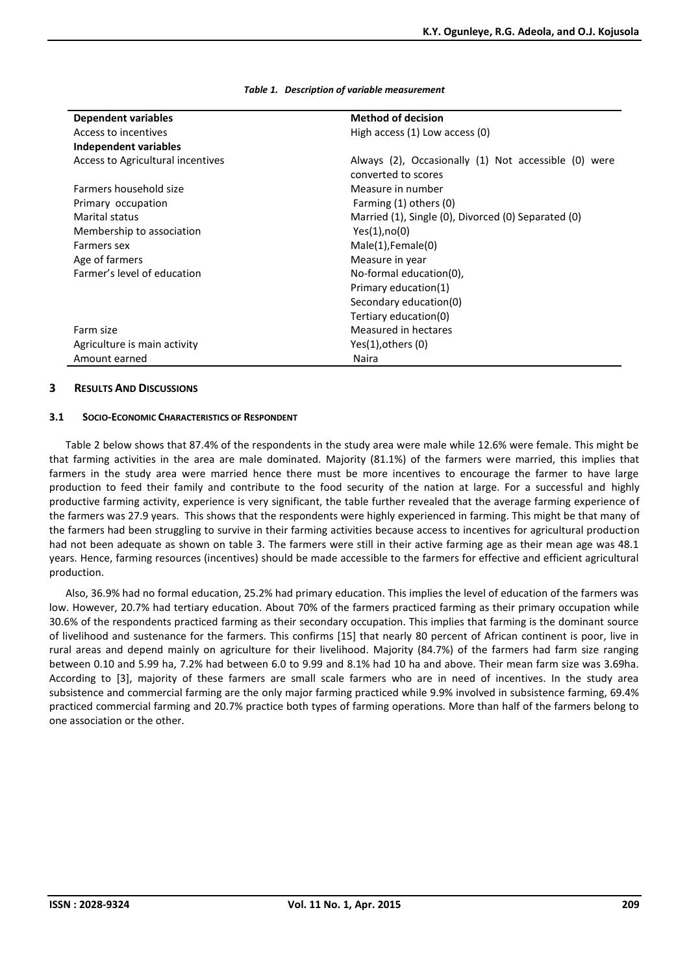| Dependent variables               | <b>Method of decision</b>                            |
|-----------------------------------|------------------------------------------------------|
| Access to incentives              | High access (1) Low access (0)                       |
| Independent variables             |                                                      |
| Access to Agricultural incentives | Always (2), Occasionally (1) Not accessible (0) were |
|                                   | converted to scores                                  |
| Farmers household size            | Measure in number                                    |
| Primary occupation                | Farming (1) others (0)                               |
| Marital status                    | Married (1), Single (0), Divorced (0) Separated (0)  |
| Membership to association         | Yes(1), no(0)                                        |
| Farmers sex                       | Male(1), Female(0)                                   |
| Age of farmers                    | Measure in year                                      |
| Farmer's level of education       | No-formal education(0),                              |
|                                   | Primary education(1)                                 |
|                                   | Secondary education(0)                               |
|                                   | Tertiary education(0)                                |
| Farm size                         | Measured in hectares                                 |
| Agriculture is main activity      | Yes(1), others(0)                                    |
| Amount earned                     | Naira                                                |
|                                   |                                                      |

*Table 1. Description of variable measurement*

#### **3 RESULTS AND DISCUSSIONS**

#### **3.1 SOCIO-ECONOMIC CHARACTERISTICS OF RESPONDENT**

Table 2 below shows that 87.4% of the respondents in the study area were male while 12.6% were female. This might be that farming activities in the area are male dominated. Majority (81.1%) of the farmers were married, this implies that farmers in the study area were married hence there must be more incentives to encourage the farmer to have large production to feed their family and contribute to the food security of the nation at large. For a successful and highly productive farming activity, experience is very significant, the table further revealed that the average farming experience of the farmers was 27.9 years. This shows that the respondents were highly experienced in farming. This might be that many of the farmers had been struggling to survive in their farming activities because access to incentives for agricultural production had not been adequate as shown on table 3. The farmers were still in their active farming age as their mean age was 48.1 years. Hence, farming resources (incentives) should be made accessible to the farmers for effective and efficient agricultural production.

Also, 36.9% had no formal education, 25.2% had primary education. This implies the level of education of the farmers was low. However, 20.7% had tertiary education. About 70% of the farmers practiced farming as their primary occupation while 30.6% of the respondents practiced farming as their secondary occupation. This implies that farming is the dominant source of livelihood and sustenance for the farmers. This confirms [15] that nearly 80 percent of African continent is poor, live in rural areas and depend mainly on agriculture for their livelihood. Majority (84.7%) of the farmers had farm size ranging between 0.10 and 5.99 ha, 7.2% had between 6.0 to 9.99 and 8.1% had 10 ha and above. Their mean farm size was 3.69ha. According to [3], majority of these farmers are small scale farmers who are in need of incentives. In the study area subsistence and commercial farming are the only major farming practiced while 9.9% involved in subsistence farming, 69.4% practiced commercial farming and 20.7% practice both types of farming operations. More than half of the farmers belong to one association or the other.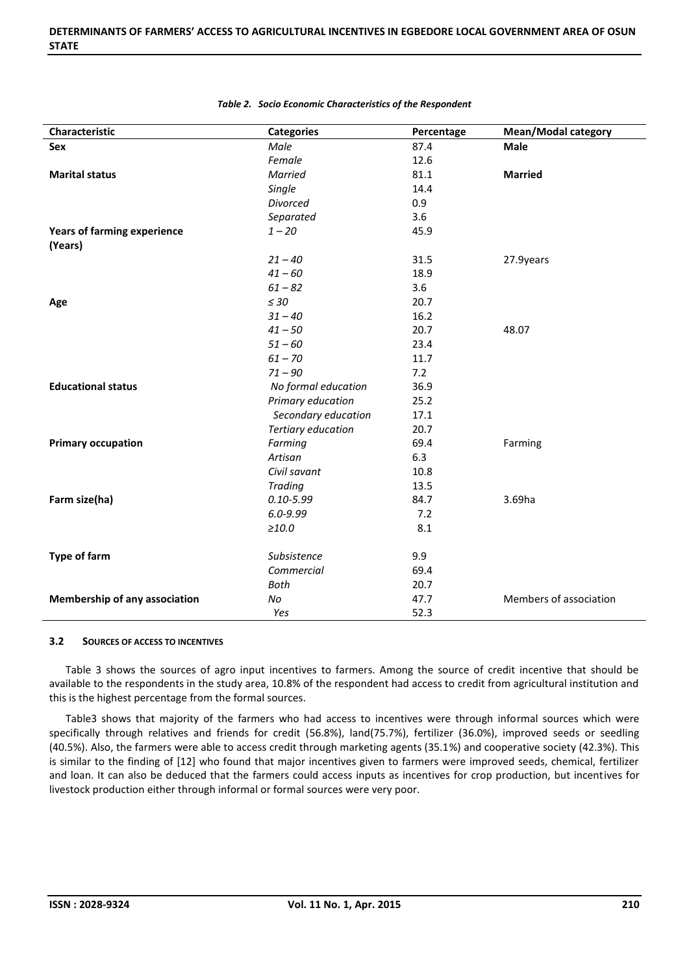| Characteristic                                | <b>Categories</b>   | Percentage | <b>Mean/Modal category</b> |
|-----------------------------------------------|---------------------|------------|----------------------------|
| Sex                                           | Male                | 87.4       | <b>Male</b>                |
|                                               | Female              | 12.6       |                            |
| <b>Marital status</b>                         | Married             | 81.1       | <b>Married</b>             |
|                                               | Single              | 14.4       |                            |
|                                               | Divorced            | 0.9        |                            |
|                                               | Separated           | 3.6        |                            |
| <b>Years of farming experience</b><br>(Years) | $1 - 20$            | 45.9       |                            |
|                                               | $21 - 40$           | 31.5       | 27.9years                  |
|                                               | $41 - 60$           | 18.9       |                            |
|                                               | $61 - 82$           | 3.6        |                            |
| Age                                           | $\leq 30$           | 20.7       |                            |
|                                               | $31 - 40$           | 16.2       |                            |
|                                               | $41 - 50$           | 20.7       | 48.07                      |
|                                               | $51 - 60$           | 23.4       |                            |
|                                               | $61 - 70$           | 11.7       |                            |
|                                               | $71 - 90$           | 7.2        |                            |
| <b>Educational status</b>                     | No formal education | 36.9       |                            |
|                                               | Primary education   | 25.2       |                            |
|                                               | Secondary education | 17.1       |                            |
|                                               | Tertiary education  | 20.7       |                            |
| <b>Primary occupation</b>                     | Farming             | 69.4       | Farming                    |
|                                               | Artisan             | 6.3        |                            |
|                                               | Civil savant        | 10.8       |                            |
|                                               | <b>Trading</b>      | 13.5       |                            |
| Farm size(ha)                                 | $0.10 - 5.99$       | 84.7       | 3.69ha                     |
|                                               | $6.0 - 9.99$        | 7.2        |                            |
|                                               | >10.0               | 8.1        |                            |
| <b>Type of farm</b>                           | Subsistence         | 9.9        |                            |
|                                               | Commercial          | 69.4       |                            |
|                                               | <b>Both</b>         | 20.7       |                            |
| <b>Membership of any association</b>          | No                  | 47.7       | Members of association     |
|                                               | Yes                 | 52.3       |                            |

#### *Table 2. Socio Economic Characteristics of the Respondent*

#### **3.2 SOURCES OF ACCESS TO INCENTIVES**

Table 3 shows the sources of agro input incentives to farmers. Among the source of credit incentive that should be available to the respondents in the study area, 10.8% of the respondent had access to credit from agricultural institution and this is the highest percentage from the formal sources.

Table3 shows that majority of the farmers who had access to incentives were through informal sources which were specifically through relatives and friends for credit (56.8%), land(75.7%), fertilizer (36.0%), improved seeds or seedling (40.5%). Also, the farmers were able to access credit through marketing agents (35.1%) and cooperative society (42.3%). This is similar to the finding of [12] who found that major incentives given to farmers were improved seeds, chemical, fertilizer and loan. It can also be deduced that the farmers could access inputs as incentives for crop production, but incentives for livestock production either through informal or formal sources were very poor.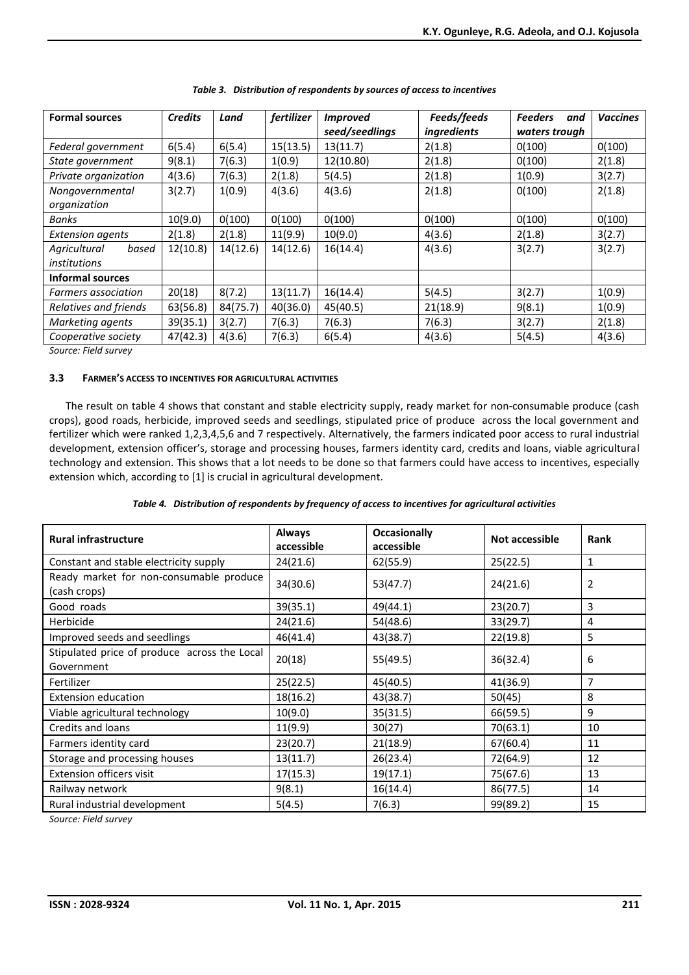| <b>Formal sources</b>                 | <b>Credits</b> | Land     | fertilizer | <i>Improved</i><br>seed/seedlings | Feeds/feeds<br><i>ingredients</i> | <b>Feeders</b><br>and<br>waters trough | <b>Vaccines</b> |
|---------------------------------------|----------------|----------|------------|-----------------------------------|-----------------------------------|----------------------------------------|-----------------|
| Federal government                    | 6(5.4)         | 6(5.4)   | 15(13.5)   | 13(11.7)                          | 2(1.8)                            | 0(100)                                 | 0(100)          |
| State government                      | 9(8.1)         | 7(6.3)   | 1(0.9)     | 12(10.80)                         | 2(1.8)                            | 0(100)                                 | 2(1.8)          |
| Private organization                  | 4(3.6)         | 7(6.3)   | 2(1.8)     | 5(4.5)                            | 2(1.8)                            | 1(0.9)                                 | 3(2.7)          |
| Nongovernmental<br>organization       | 3(2.7)         | 1(0.9)   | 4(3.6)     | 4(3.6)                            | 2(1.8)                            | 0(100)                                 | 2(1.8)          |
| Banks                                 | 10(9.0)        | 0(100)   | 0(100)     | 0(100)                            | 0(100)                            | 0(100)                                 | 0(100)          |
| <b>Extension agents</b>               | 2(1.8)         | 2(1.8)   | 11(9.9)    | 10(9.0)                           | 4(3.6)                            | 2(1.8)                                 | 3(2.7)          |
| Agricultural<br>based<br>institutions | 12(10.8)       | 14(12.6) | 14(12.6)   | 16(14.4)                          | 4(3.6)                            | 3(2.7)                                 | 3(2.7)          |
| Informal sources                      |                |          |            |                                   |                                   |                                        |                 |
| Farmers association                   | 20(18)         | 8(7.2)   | 13(11.7)   | 16(14.4)                          | 5(4.5)                            | 3(2.7)                                 | 1(0.9)          |
| Relatives and friends                 | 63(56.8)       | 84(75.7) | 40(36.0)   | 45(40.5)                          | 21(18.9)                          | 9(8.1)                                 | 1(0.9)          |
| Marketing agents                      | 39(35.1)       | 3(2.7)   | 7(6.3)     | 7(6.3)                            | 7(6.3)                            | 3(2.7)                                 | 2(1.8)          |
| Cooperative society                   | 47(42.3)       | 4(3.6)   | 7(6.3)     | 6(5.4)                            | 4(3.6)                            | 5(4.5)                                 | 4(3.6)          |

| Table 3. Distribution of respondents by sources of access to incentives |  |
|-------------------------------------------------------------------------|--|
|                                                                         |  |

*Source: Field survey*

## **3.3 FARMER'S ACCESS TO INCENTIVES FOR AGRICULTURAL ACTIVITIES**

The result on table 4 shows that constant and stable electricity supply, ready market for non-consumable produce (cash crops), good roads, herbicide, improved seeds and seedlings, stipulated price of produce across the local government and fertilizer which were ranked 1,2,3,4,5,6 and 7 respectively. Alternatively, the farmers indicated poor access to rural industrial development, extension officer's, storage and processing houses, farmers identity card, credits and loans, viable agricultural technology and extension. This shows that a lot needs to be done so that farmers could have access to incentives, especially extension which, according to [1] is crucial in agricultural development.

|  |  | Table 4. Distribution of respondents by frequency of access to incentives for agricultural activities |
|--|--|-------------------------------------------------------------------------------------------------------|
|--|--|-------------------------------------------------------------------------------------------------------|

| <b>Rural infrastructure</b>                                | <b>Always</b><br>accessible | <b>Occasionally</b><br>accessible | Not accessible | Rank |
|------------------------------------------------------------|-----------------------------|-----------------------------------|----------------|------|
| Constant and stable electricity supply                     | 24(21.6)                    | 62(55.9)                          | 25(22.5)       | 1    |
| Ready market for non-consumable produce<br>(cash crops)    | 34(30.6)                    | 53(47.7)                          | 24(21.6)       | 2    |
| Good roads                                                 | 39(35.1)                    | 49(44.1)                          | 23(20.7)       | 3    |
| Herbicide                                                  | 24(21.6)                    | 54(48.6)                          | 33(29.7)       | 4    |
| Improved seeds and seedlings                               | 46(41.4)                    | 43(38.7)                          | 22(19.8)       | 5    |
| Stipulated price of produce across the Local<br>Government | 20(18)                      | 55(49.5)                          | 36(32.4)       | 6    |
| Fertilizer                                                 | 25(22.5)                    | 45(40.5)                          | 41(36.9)       | 7    |
| <b>Extension education</b>                                 | 18(16.2)                    | 43(38.7)                          | 50(45)         | 8    |
| Viable agricultural technology                             | 10(9.0)                     | 35(31.5)                          | 66(59.5)       | 9    |
| Credits and loans                                          | 11(9.9)                     | 30(27)                            | 70(63.1)       | 10   |
| Farmers identity card                                      | 23(20.7)                    | 21(18.9)                          | 67(60.4)       | 11   |
| Storage and processing houses                              | 13(11.7)                    | 26(23.4)                          | 72(64.9)       | 12   |
| Extension officers visit                                   | 17(15.3)                    | 19(17.1)                          | 75(67.6)       | 13   |
| Railway network                                            | 9(8.1)                      | 16(14.4)                          | 86(77.5)       | 14   |
| Rural industrial development                               | 5(4.5)                      | 7(6.3)                            | 99(89.2)       | 15   |

*Source: Field survey*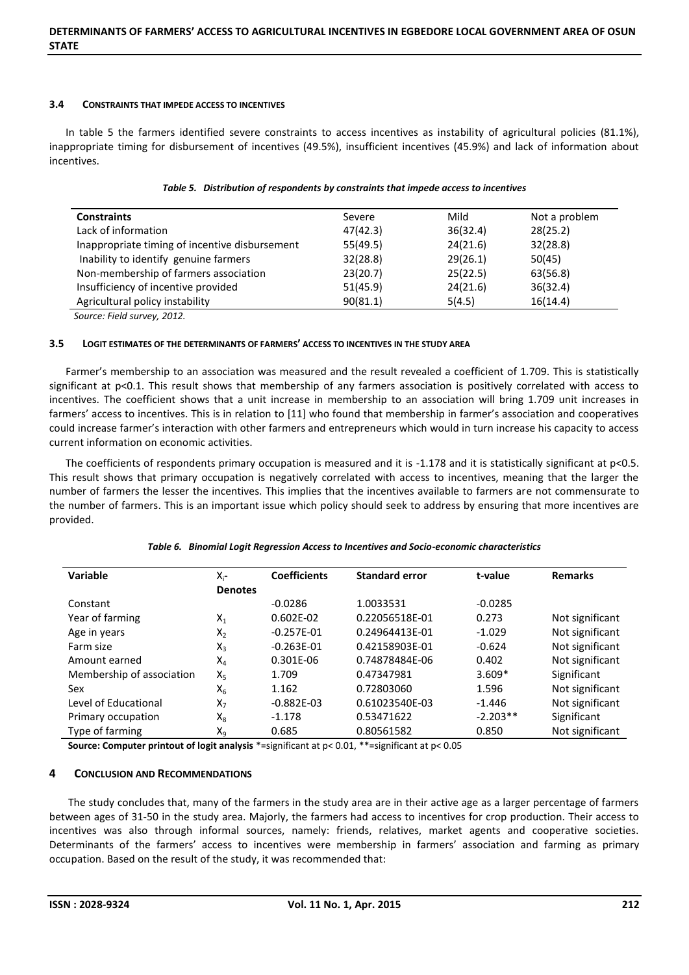#### **3.4 CONSTRAINTS THAT IMPEDE ACCESS TO INCENTIVES**

In table 5 the farmers identified severe constraints to access incentives as instability of agricultural policies (81.1%), inappropriate timing for disbursement of incentives (49.5%), insufficient incentives (45.9%) and lack of information about incentives.

| <b>Constraints</b>                             | Severe   | Mild     | Not a problem |
|------------------------------------------------|----------|----------|---------------|
| Lack of information                            | 47(42.3) | 36(32.4) | 28(25.2)      |
| Inappropriate timing of incentive disbursement | 55(49.5) | 24(21.6) | 32(28.8)      |
| Inability to identify genuine farmers          | 32(28.8) | 29(26.1) | 50(45)        |
| Non-membership of farmers association          | 23(20.7) | 25(22.5) | 63(56.8)      |
| Insufficiency of incentive provided            | 51(45.9) | 24(21.6) | 36(32.4)      |
| Agricultural policy instability                | 90(81.1) | 5(4.5)   | 16(14.4)      |
| Course Eight survey 2012                       |          |          |               |

|  |  |  |  | Table 5. Distribution of respondents by constraints that impede access to incentives |  |
|--|--|--|--|--------------------------------------------------------------------------------------|--|
|--|--|--|--|--------------------------------------------------------------------------------------|--|

*Source: Field survey, 2012.*

## **3.5 LOGIT ESTIMATES OF THE DETERMINANTS OF FARMERS' ACCESS TO INCENTIVES IN THE STUDY AREA**

Farmer's membership to an association was measured and the result revealed a coefficient of 1.709. This is statistically significant at p<0.1. This result shows that membership of any farmers association is positively correlated with access to incentives. The coefficient shows that a unit increase in membership to an association will bring 1.709 unit increases in farmers' access to incentives. This is in relation to [11] who found that membership in farmer's association and cooperatives could increase farmer's interaction with other farmers and entrepreneurs which would in turn increase his capacity to access current information on economic activities.

The coefficients of respondents primary occupation is measured and it is -1.178 and it is statistically significant at p<0.5. This result shows that primary occupation is negatively correlated with access to incentives, meaning that the larger the number of farmers the lesser the incentives. This implies that the incentives available to farmers are not commensurate to the number of farmers. This is an important issue which policy should seek to address by ensuring that more incentives are provided.

## *Table 6. Binomial Logit Regression Access to Incentives and Socio-economic characteristics*

| Variable                  | $X_i$ -        | <b>Coefficients</b> | <b>Standard error</b> | t-value    | <b>Remarks</b>  |
|---------------------------|----------------|---------------------|-----------------------|------------|-----------------|
|                           | <b>Denotes</b> |                     |                       |            |                 |
| Constant                  |                | $-0.0286$           | 1.0033531             | $-0.0285$  |                 |
| Year of farming           | $X_1$          | $0.602E - 02$       | 0.22056518E-01        | 0.273      | Not significant |
| Age in years              | $X_2$          | $-0.257E-01$        | 0.24964413E-01        | $-1.029$   | Not significant |
| Farm size                 | $X_3$          | $-0.263E - 01$      | 0.42158903E-01        | $-0.624$   | Not significant |
| Amount earned             | $X_4$          | 0.301E-06           | 0.74878484E-06        | 0.402      | Not significant |
| Membership of association | $X_5$          | 1.709               | 0.47347981            | $3.609*$   | Significant     |
| Sex                       | $X_6$          | 1.162               | 0.72803060            | 1.596      | Not significant |
| Level of Educational      | $X_7$          | $-0.882E - 03$      | 0.61023540E-03        | $-1.446$   | Not significant |
| Primary occupation        | $X_8$          | $-1.178$            | 0.53471622            | $-2.203**$ | Significant     |
| Type of farming           | $X_9$          | 0.685               | 0.80561582            | 0.850      | Not significant |

**Source: Computer printout of logit analysis** \*=significant at p< 0.01, \*\*=significant at p< 0.05

## **4 CONCLUSION AND RECOMMENDATIONS**

The study concludes that, many of the farmers in the study area are in their active age as a larger percentage of farmers between ages of 31-50 in the study area. Majorly, the farmers had access to incentives for crop production. Their access to incentives was also through informal sources, namely: friends, relatives, market agents and cooperative societies. Determinants of the farmers' access to incentives were membership in farmers' association and farming as primary occupation. Based on the result of the study, it was recommended that: